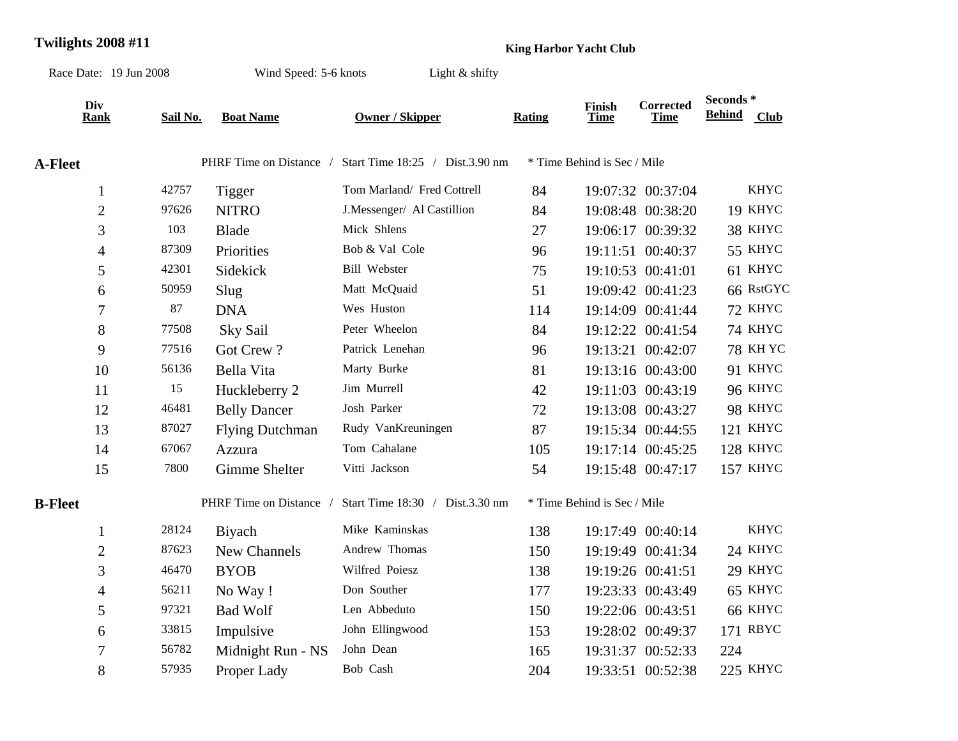## **Twilights 2008 #11 King Harbor Yacht Club**

| Race Date: 19 Jun 2008   |          | Wind Speed: 5-6 knots<br>Light $\&$ shifty |                                 |        |                             |                                 |                                       |                 |
|--------------------------|----------|--------------------------------------------|---------------------------------|--------|-----------------------------|---------------------------------|---------------------------------------|-----------------|
| Div<br><b>Rank</b>       | Sail No. | <b>Boat Name</b>                           | <b>Owner / Skipper</b>          | Rating | Finish<br>Time              | <b>Corrected</b><br><b>Time</b> | Seconds <sup>*</sup><br><b>Behind</b> | <b>Club</b>     |
| <b>A-Fleet</b>           |          | PHRF Time on Distance /                    | Start Time 18:25 / Dist.3.90 nm |        | * Time Behind is Sec / Mile |                                 |                                       |                 |
| $\mathbf{1}$             | 42757    | <b>Tigger</b>                              | Tom Marland/ Fred Cottrell      | 84     |                             | 19:07:32 00:37:04               |                                       | <b>KHYC</b>     |
| $\overline{2}$           | 97626    | <b>NITRO</b>                               | J.Messenger/ Al Castillion      | 84     |                             | 19:08:48 00:38:20               |                                       | 19 KHYC         |
| 3                        | 103      | <b>Blade</b>                               | Mick Shlens                     | 27     |                             | 19:06:17 00:39:32               |                                       | 38 KHYC         |
| 4                        | 87309    | Priorities                                 | Bob & Val Cole                  | 96     |                             | 19:11:51 00:40:37               |                                       | 55 KHYC         |
| 5                        | 42301    | Sidekick                                   | Bill Webster                    | 75     |                             | 19:10:53 00:41:01               |                                       | 61 KHYC         |
| 6                        | 50959    | Slug                                       | Matt McQuaid                    | 51     |                             | 19:09:42 00:41:23               |                                       | 66 RstGYC       |
| $\overline{7}$           | 87       | <b>DNA</b>                                 | Wes Huston                      | 114    |                             | 19:14:09 00:41:44               |                                       | 72 KHYC         |
| $8\,$                    | 77508    | Sky Sail                                   | Peter Wheelon                   | 84     |                             | 19:12:22 00:41:54               |                                       | 74 KHYC         |
| 9                        | 77516    | Got Crew?                                  | Patrick Lenehan                 | 96     |                             | 19:13:21 00:42:07               |                                       | <b>78 KH YC</b> |
| 10                       | 56136    | Bella Vita                                 | Marty Burke                     | 81     |                             | 19:13:16 00:43:00               |                                       | 91 KHYC         |
| 11                       | 15       | Huckleberry 2                              | Jim Murrell                     | 42     |                             | 19:11:03 00:43:19               |                                       | <b>96 KHYC</b>  |
| 12                       | 46481    | <b>Belly Dancer</b>                        | Josh Parker                     | 72     |                             | 19:13:08 00:43:27               |                                       | 98 KHYC         |
| 13                       | 87027    | <b>Flying Dutchman</b>                     | Rudy VanKreuningen              | 87     |                             | 19:15:34 00:44:55               |                                       | 121 KHYC        |
| 14                       | 67067    | Azzura                                     | Tom Cahalane                    | 105    |                             | 19:17:14 00:45:25               |                                       | 128 KHYC        |
| 15                       | 7800     | Gimme Shelter                              | Vitti Jackson                   | 54     |                             | 19:15:48 00:47:17               |                                       | 157 KHYC        |
| <b>B-Fleet</b>           |          | PHRF Time on Distance /                    | Start Time 18:30 / Dist.3.30 nm |        | * Time Behind is Sec / Mile |                                 |                                       |                 |
| $\mathbf{1}$             | 28124    | <b>B</b> iyach                             | Mike Kaminskas                  | 138    |                             | 19:17:49 00:40:14               |                                       | <b>KHYC</b>     |
| $\overline{2}$           | 87623    | New Channels                               | Andrew Thomas                   | 150    |                             | 19:19:49 00:41:34               |                                       | 24 KHYC         |
| 3                        | 46470    | <b>BYOB</b>                                | Wilfred Poiesz                  | 138    |                             | 19:19:26 00:41:51               |                                       | 29 KHYC         |
| $\overline{\mathcal{L}}$ | 56211    | No Way!                                    | Don Souther                     | 177    |                             | 19:23:33 00:43:49               |                                       | 65 KHYC         |
| 5                        | 97321    | <b>Bad Wolf</b>                            | Len Abbeduto                    | 150    |                             | 19:22:06 00:43:51               |                                       | 66 KHYC         |
| 6                        | 33815    | Impulsive                                  | John Ellingwood                 | 153    |                             | 19:28:02 00:49:37               |                                       | 171 RBYC        |
| 7                        | 56782    | Midnight Run - NS                          | John Dean                       | 165    |                             | 19:31:37 00:52:33               | 224                                   |                 |
| 8                        | 57935    | Proper Lady                                | Bob Cash                        | 204    |                             | 19:33:51 00:52:38               |                                       | 225 KHYC        |